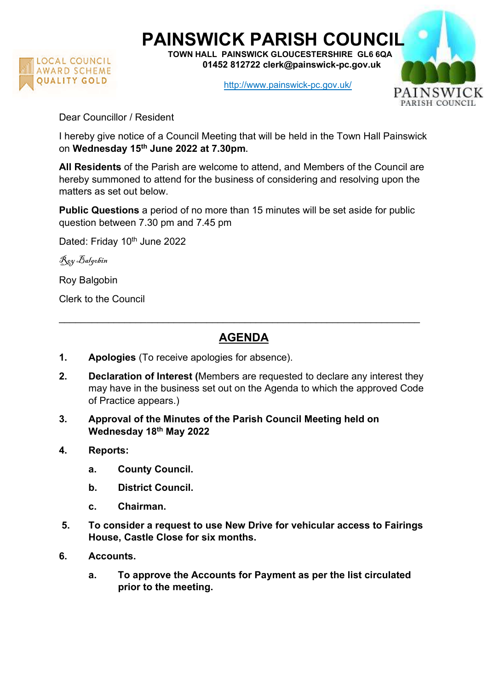

## PAINSWICK PARISH COUNCIL

TOWN HALL PAINSWICK GLOUCESTERSHIRE GL6 6QA 01452 812722 clerk@painswick-pc.gov.uk

http://www.painswick-pc.gov.uk/



Dear Councillor / Resident

I hereby give notice of a Council Meeting that will be held in the Town Hall Painswick on Wednesday 15th June 2022 at 7.30pm.

All Residents of the Parish are welcome to attend, and Members of the Council are hereby summoned to attend for the business of considering and resolving upon the matters as set out below.

Public Questions a period of no more than 15 minutes will be set aside for public question between 7.30 pm and 7.45 pm

Dated: Friday 10<sup>th</sup> June 2022

Roy Balgobin

Roy Balgobin

Clerk to the Council

## AGENDA

 $\_$  , and the contribution of the contribution of  $\mathcal{L}_\mathcal{A}$  , and the contribution of  $\mathcal{L}_\mathcal{A}$ 

- 1. Apologies (To receive apologies for absence).
- 2. Declaration of Interest (Members are requested to declare any interest they may have in the business set out on the Agenda to which the approved Code of Practice appears.)
- 3. Approval of the Minutes of the Parish Council Meeting held on Wednesday 18th May 2022
- 4. Reports:
	- a. County Council.
	- b. District Council.
	- c. Chairman.
- 5. To consider a request to use New Drive for vehicular access to Fairings House, Castle Close for six months.
- 6. Accounts.
	- a. To approve the Accounts for Payment as per the list circulated prior to the meeting.